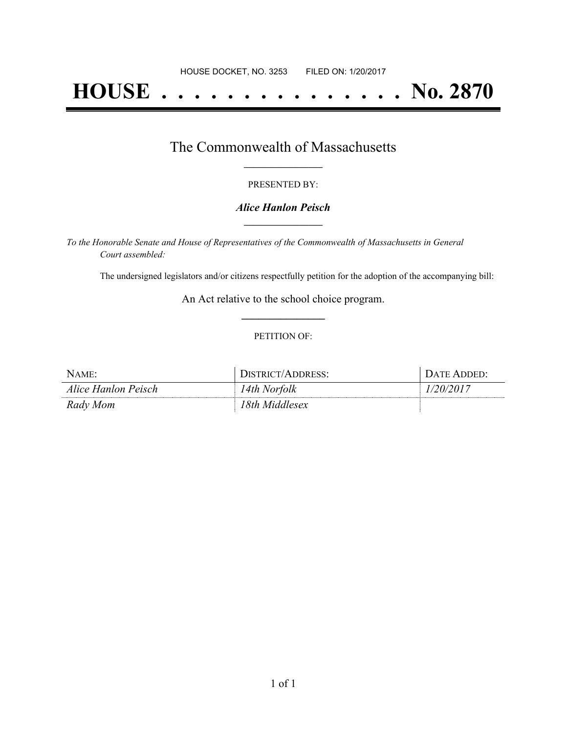# **HOUSE . . . . . . . . . . . . . . . No. 2870**

### The Commonwealth of Massachusetts **\_\_\_\_\_\_\_\_\_\_\_\_\_\_\_\_\_**

#### PRESENTED BY:

#### *Alice Hanlon Peisch* **\_\_\_\_\_\_\_\_\_\_\_\_\_\_\_\_\_**

*To the Honorable Senate and House of Representatives of the Commonwealth of Massachusetts in General Court assembled:*

The undersigned legislators and/or citizens respectfully petition for the adoption of the accompanying bill:

An Act relative to the school choice program. **\_\_\_\_\_\_\_\_\_\_\_\_\_\_\_**

#### PETITION OF:

| NAME:               | JISTRICT/ADDRESS: | DATE ADDED: . |
|---------------------|-------------------|---------------|
| Alice Hanlon Peisch | 14th Norfolk      | ,,,,          |
| Rady Mom            | 18th Middlesex    |               |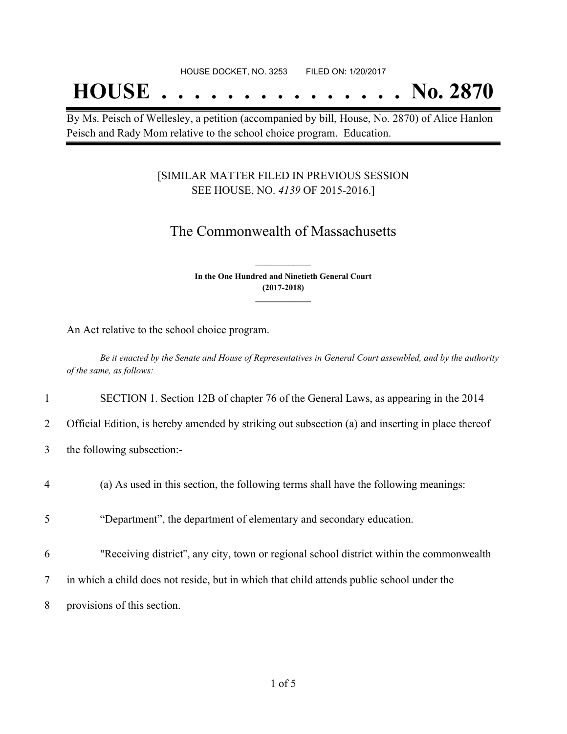## **HOUSE . . . . . . . . . . . . . . . No. 2870**

By Ms. Peisch of Wellesley, a petition (accompanied by bill, House, No. 2870) of Alice Hanlon Peisch and Rady Mom relative to the school choice program. Education.

#### [SIMILAR MATTER FILED IN PREVIOUS SESSION SEE HOUSE, NO. *4139* OF 2015-2016.]

## The Commonwealth of Massachusetts

**In the One Hundred and Ninetieth General Court (2017-2018) \_\_\_\_\_\_\_\_\_\_\_\_\_\_\_**

**\_\_\_\_\_\_\_\_\_\_\_\_\_\_\_**

An Act relative to the school choice program.

Be it enacted by the Senate and House of Representatives in General Court assembled, and by the authority *of the same, as follows:*

#### 1 SECTION 1. Section 12B of chapter 76 of the General Laws, as appearing in the 2014

- 2 Official Edition, is hereby amended by striking out subsection (a) and inserting in place thereof
- 3 the following subsection:-
- 4 (a) As used in this section, the following terms shall have the following meanings:
- 5 "Department", the department of elementary and secondary education.
- 6 "Receiving district'', any city, town or regional school district within the commonwealth
- 7 in which a child does not reside, but in which that child attends public school under the
- 8 provisions of this section.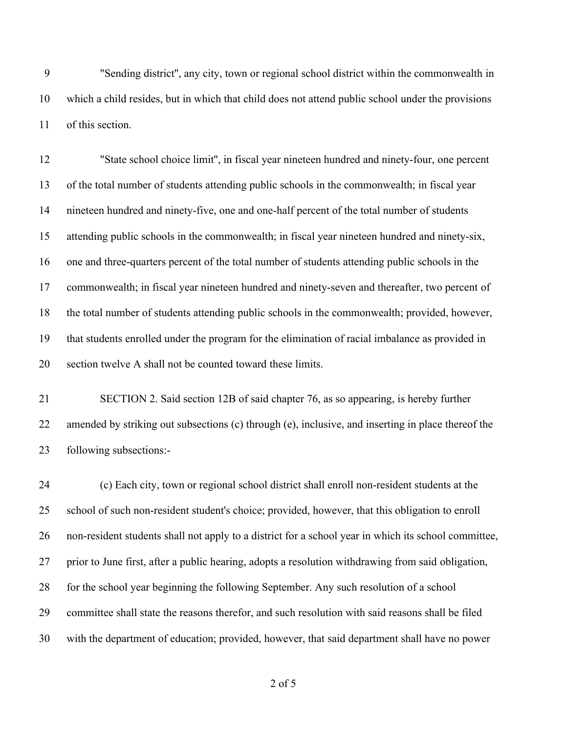"Sending district'', any city, town or regional school district within the commonwealth in which a child resides, but in which that child does not attend public school under the provisions of this section.

 "State school choice limit'', in fiscal year nineteen hundred and ninety-four, one percent of the total number of students attending public schools in the commonwealth; in fiscal year nineteen hundred and ninety-five, one and one-half percent of the total number of students attending public schools in the commonwealth; in fiscal year nineteen hundred and ninety-six, one and three-quarters percent of the total number of students attending public schools in the commonwealth; in fiscal year nineteen hundred and ninety-seven and thereafter, two percent of the total number of students attending public schools in the commonwealth; provided, however, that students enrolled under the program for the elimination of racial imbalance as provided in section twelve A shall not be counted toward these limits.

 SECTION 2. Said section 12B of said chapter 76, as so appearing, is hereby further amended by striking out subsections (c) through (e), inclusive, and inserting in place thereof the following subsections:-

 (c) Each city, town or regional school district shall enroll non-resident students at the school of such non-resident student's choice; provided, however, that this obligation to enroll non-resident students shall not apply to a district for a school year in which its school committee, prior to June first, after a public hearing, adopts a resolution withdrawing from said obligation, for the school year beginning the following September. Any such resolution of a school committee shall state the reasons therefor, and such resolution with said reasons shall be filed with the department of education; provided, however, that said department shall have no power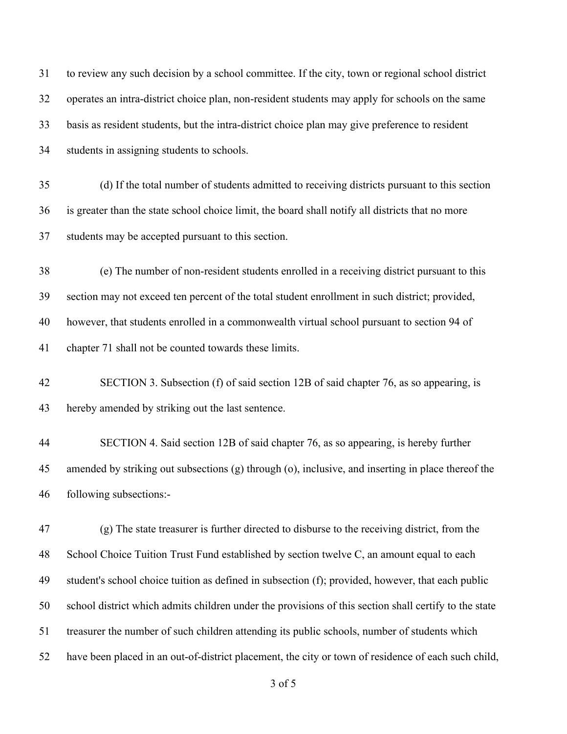| 31 | to review any such decision by a school committee. If the city, town or regional school district      |
|----|-------------------------------------------------------------------------------------------------------|
| 32 | operates an intra-district choice plan, non-resident students may apply for schools on the same       |
| 33 | basis as resident students, but the intra-district choice plan may give preference to resident        |
| 34 | students in assigning students to schools.                                                            |
| 35 | (d) If the total number of students admitted to receiving districts pursuant to this section          |
| 36 | is greater than the state school choice limit, the board shall notify all districts that no more      |
| 37 | students may be accepted pursuant to this section.                                                    |
| 38 | (e) The number of non-resident students enrolled in a receiving district pursuant to this             |
| 39 | section may not exceed ten percent of the total student enrollment in such district; provided,        |
| 40 | however, that students enrolled in a commonwealth virtual school pursuant to section 94 of            |
| 41 | chapter 71 shall not be counted towards these limits.                                                 |
| 42 | SECTION 3. Subsection (f) of said section 12B of said chapter 76, as so appearing, is                 |
| 43 | hereby amended by striking out the last sentence.                                                     |
| 44 | SECTION 4. Said section 12B of said chapter 76, as so appearing, is hereby further                    |
| 45 | amended by striking out subsections (g) through (o), inclusive, and inserting in place thereof the    |
| 46 | following subsections:-                                                                               |
| 47 | (g) The state treasurer is further directed to disburse to the receiving district, from the           |
| 48 | School Choice Tuition Trust Fund established by section twelve C, an amount equal to each             |
| 49 | student's school choice tuition as defined in subsection (f); provided, however, that each public     |
| 50 | school district which admits children under the provisions of this section shall certify to the state |
| 51 | treasurer the number of such children attending its public schools, number of students which          |
| 52 | have been placed in an out-of-district placement, the city or town of residence of each such child,   |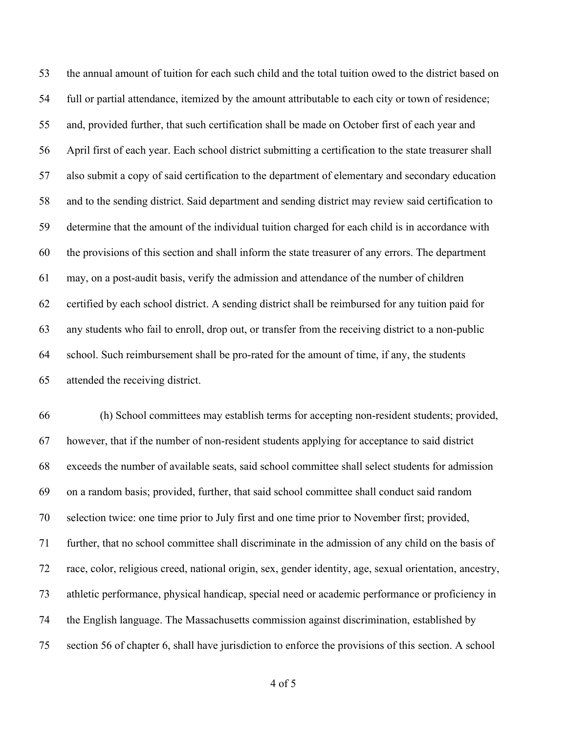the annual amount of tuition for each such child and the total tuition owed to the district based on full or partial attendance, itemized by the amount attributable to each city or town of residence; and, provided further, that such certification shall be made on October first of each year and April first of each year. Each school district submitting a certification to the state treasurer shall also submit a copy of said certification to the department of elementary and secondary education and to the sending district. Said department and sending district may review said certification to determine that the amount of the individual tuition charged for each child is in accordance with the provisions of this section and shall inform the state treasurer of any errors. The department may, on a post-audit basis, verify the admission and attendance of the number of children certified by each school district. A sending district shall be reimbursed for any tuition paid for any students who fail to enroll, drop out, or transfer from the receiving district to a non-public school. Such reimbursement shall be pro-rated for the amount of time, if any, the students attended the receiving district.

 (h) School committees may establish terms for accepting non-resident students; provided, however, that if the number of non-resident students applying for acceptance to said district exceeds the number of available seats, said school committee shall select students for admission on a random basis; provided, further, that said school committee shall conduct said random selection twice: one time prior to July first and one time prior to November first; provided, further, that no school committee shall discriminate in the admission of any child on the basis of race, color, religious creed, national origin, sex, gender identity, age, sexual orientation, ancestry, athletic performance, physical handicap, special need or academic performance or proficiency in the English language. The Massachusetts commission against discrimination, established by section 56 of chapter 6, shall have jurisdiction to enforce the provisions of this section. A school